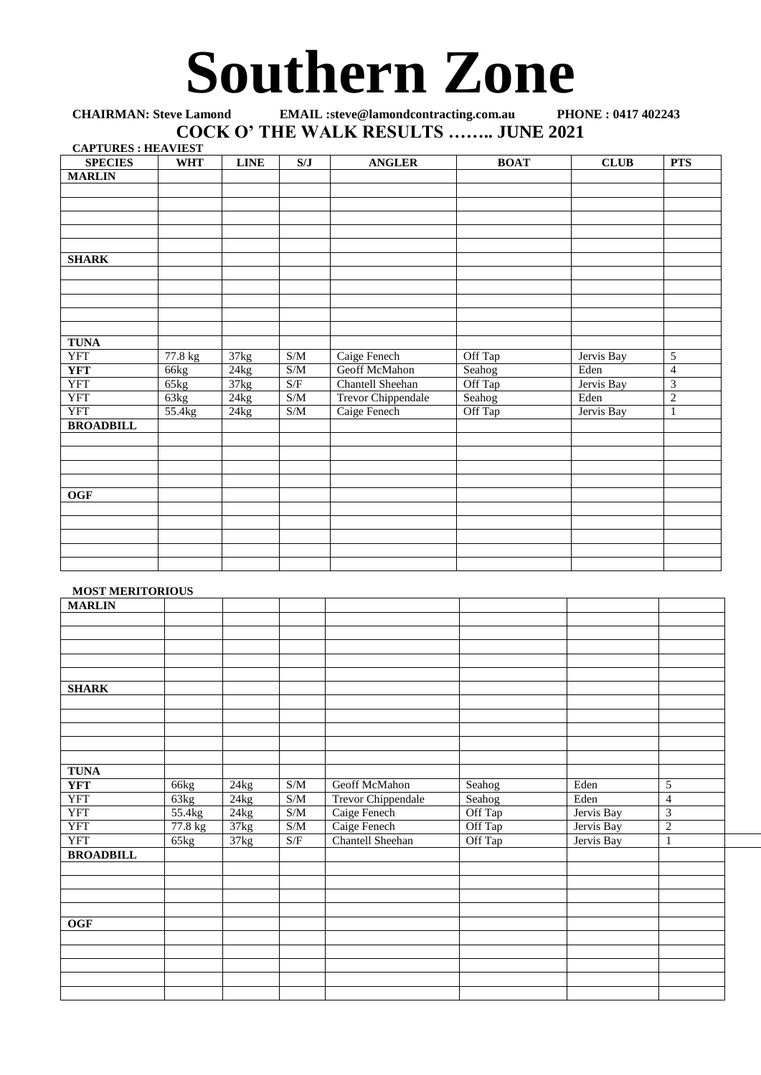## **Southern Zone**

## **CHAIRMAN: Steve Lamond EMAIL :steve@lamondcontracting.com.au PHONE : 0417 402243 COCK O' THE WALK RESULTS …….. JUNE 2021 CAPTURES : HEAVIEST**

| <b>CAPTURES : HEAVIEST</b> |            |                    |                                                                 |                    |             |             |                          |
|----------------------------|------------|--------------------|-----------------------------------------------------------------|--------------------|-------------|-------------|--------------------------|
| <b>SPECIES</b>             | <b>WHT</b> | <b>LINE</b>        | S/J                                                             | <b>ANGLER</b>      | <b>BOAT</b> | <b>CLUB</b> | <b>PTS</b>               |
| <b>MARLIN</b>              |            |                    |                                                                 |                    |             |             |                          |
|                            |            |                    |                                                                 |                    |             |             |                          |
|                            |            |                    |                                                                 |                    |             |             |                          |
|                            |            |                    |                                                                 |                    |             |             |                          |
|                            |            |                    |                                                                 |                    |             |             |                          |
|                            |            |                    |                                                                 |                    |             |             |                          |
| <b>SHARK</b>               |            |                    |                                                                 |                    |             |             |                          |
|                            |            |                    |                                                                 |                    |             |             |                          |
|                            |            |                    |                                                                 |                    |             |             |                          |
|                            |            |                    |                                                                 |                    |             |             |                          |
|                            |            |                    |                                                                 |                    |             |             |                          |
|                            |            |                    |                                                                 |                    |             |             |                          |
| <b>TUNA</b>                |            |                    |                                                                 |                    |             |             |                          |
| <b>YFT</b>                 | $77.8$ kg  | 37kg               | S/M                                                             | Caige Fenech       | Off Tap     | Jervis Bay  | 5                        |
| <b>YFT</b>                 | 66kg       | 24kg               | $\ensuremath{\mathrm{S}}/\ensuremath{\mathrm{M}}$               | Geoff McMahon      | Seahog      | Eden        | $\overline{\mathcal{L}}$ |
| <b>YFT</b>                 | 65kg       | $\overline{37}$ kg | $\ensuremath{\mathrm{S}}\xspace/\ensuremath{\mathrm{F}}\xspace$ | Chantell Sheehan   | Off Tap     | Jervis Bay  | $\overline{3}$           |
| <b>YFT</b>                 | 63kg       | 24kg               | $\ensuremath{\mathrm{S}}/\ensuremath{\mathrm{M}}$               | Trevor Chippendale | Seahog      | Eden        | $\overline{c}$           |
| <b>YFT</b>                 | 55.4kg     | 24kg               | S/M                                                             | Caige Fenech       | Off Tap     | Jervis Bay  | $\mathbf{1}$             |
| <b>BROADBILL</b>           |            |                    |                                                                 |                    |             |             |                          |
|                            |            |                    |                                                                 |                    |             |             |                          |
|                            |            |                    |                                                                 |                    |             |             |                          |
|                            |            |                    |                                                                 |                    |             |             |                          |
|                            |            |                    |                                                                 |                    |             |             |                          |
| <b>OGF</b>                 |            |                    |                                                                 |                    |             |             |                          |
|                            |            |                    |                                                                 |                    |             |             |                          |
|                            |            |                    |                                                                 |                    |             |             |                          |
|                            |            |                    |                                                                 |                    |             |             |                          |
|                            |            |                    |                                                                 |                    |             |             |                          |
|                            |            |                    |                                                                 |                    |             |             |                          |

## **MOST MERITORIOUS**

|                  | ------  |      |                                                   |                    |         |                          |                |  |
|------------------|---------|------|---------------------------------------------------|--------------------|---------|--------------------------|----------------|--|
| <b>MARLIN</b>    |         |      |                                                   |                    |         |                          |                |  |
|                  |         |      |                                                   |                    |         |                          |                |  |
|                  |         |      |                                                   |                    |         |                          |                |  |
|                  |         |      |                                                   |                    |         |                          |                |  |
|                  |         |      |                                                   |                    |         |                          |                |  |
|                  |         |      |                                                   |                    |         |                          |                |  |
| <b>SHARK</b>     |         |      |                                                   |                    |         |                          |                |  |
|                  |         |      |                                                   |                    |         |                          |                |  |
|                  |         |      |                                                   |                    |         |                          |                |  |
|                  |         |      |                                                   |                    |         |                          |                |  |
|                  |         |      |                                                   |                    |         |                          |                |  |
|                  |         |      |                                                   |                    |         |                          |                |  |
| <b>TUNA</b>      |         |      |                                                   |                    |         |                          |                |  |
|                  |         |      |                                                   |                    |         |                          | 5              |  |
| <b>YFT</b>       | 66kg    | 24kg | $\ensuremath{\mathrm{S}}/\ensuremath{\mathrm{M}}$ | Geoff McMahon      | Seahog  | $\overline{\text{Eden}}$ |                |  |
| <b>YFT</b>       | 63kg    | 24kg | S/M                                               | Trevor Chippendale | Seahog  | Eden                     | $\overline{4}$ |  |
| <b>YFT</b>       | 55.4kg  | 24kg | S/M                                               | Caige Fenech       | Off Tap | Jervis Bay               | 3              |  |
| <b>YFT</b>       | 77.8 kg | 37kg | S/M                                               | Caige Fenech       | Off Tap | Jervis Bay               | $\overline{2}$ |  |
| <b>YFT</b>       | 65kg    | 37kg | S/F                                               | Chantell Sheehan   | Off Tap | Jervis Bay               | 1              |  |
| <b>BROADBILL</b> |         |      |                                                   |                    |         |                          |                |  |
|                  |         |      |                                                   |                    |         |                          |                |  |
|                  |         |      |                                                   |                    |         |                          |                |  |
|                  |         |      |                                                   |                    |         |                          |                |  |
|                  |         |      |                                                   |                    |         |                          |                |  |
| OGF              |         |      |                                                   |                    |         |                          |                |  |
|                  |         |      |                                                   |                    |         |                          |                |  |
|                  |         |      |                                                   |                    |         |                          |                |  |
|                  |         |      |                                                   |                    |         |                          |                |  |
|                  |         |      |                                                   |                    |         |                          |                |  |
|                  |         |      |                                                   |                    |         |                          |                |  |
|                  |         |      |                                                   |                    |         |                          |                |  |